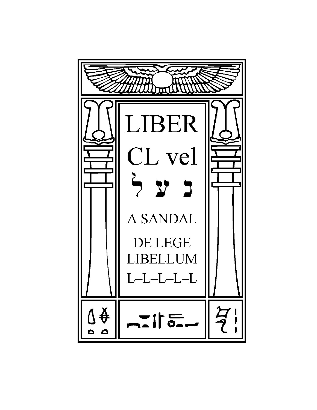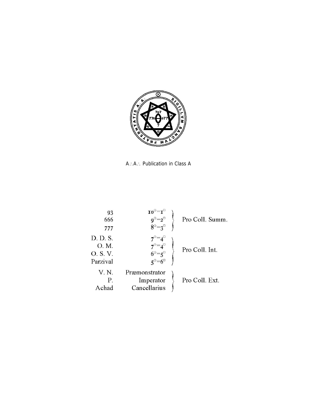

A.: A.: Publication in Class A

| 93<br>666<br>777                          | $To^{\circ} = T^{\Box}$<br>$9^{\circ}=2^{\circ}$<br>$8^\circ = 3^\circ$  | Pro Coll. Summ. |
|-------------------------------------------|--------------------------------------------------------------------------|-----------------|
| D. D. S.<br>O. M.<br>O. S. V.<br>Parzival | $\degree$ =4 $\degree$<br>$6^\circ = 5^\circ$<br>$5^{\circ} = 6^{\circ}$ | Pro Coll. Int.  |
| V. N.<br>Ρ.<br>Achad                      | Præmonstrator<br>Imperator<br>Cancellarius                               | Pro Coll. Ext.  |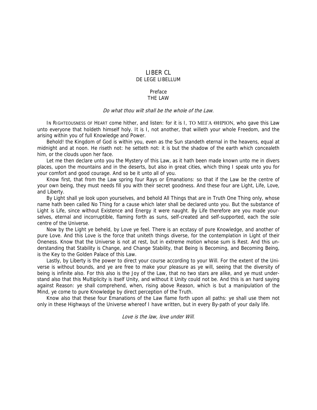# LIBER CL DE LEGE LIBELLUM

## Preface THE LAW

### Do what thou wilt shall be the whole of the Law.

IN RIGHTEOUSNESS OF HEART come hither, and listen: for it is I, ΤΟ ΜΕΓΑ ΘΗΡΙΟΝ, who gave this Law unto everyone that holdeth himself holy. It is I, not another, that willeth your whole Freedom, and the arising within you of full Knowledge and Power.

Behold! the Kingdom of God is within you, even as the Sun standeth eternal in the heavens, equal at midnight and at noon. He riseth not: he setteth not: it is but the shadow of the earth which concealeth him, or the clouds upon her face.

Let me then declare unto you the Mystery of this Law, as it hath been made known unto me in divers places, upon the mountains and in the deserts, but also in great cities, which thing I speak unto you for your comfort and good courage. And so be it unto all of you.

Know first, that from the Law spring four Rays or Emanations: so that if the Law be the centre of your own being, they must needs fill you with their secret goodness. And these four are Light, Life, Love, and Liberty.

By Light shall ye look upon yourselves, and behold All Things that are in Truth One Thing only, whose name hath been called No Thing for a cause which later shall be declared unto you. But the substance of Light is Life, since without Existence and Energy it were naught. By Life therefore are you made yourselves, eternal and incorruptible, flaming forth as suns, self-created and self-supported, each the sole centre of the Universe.

Now by the Light ye beheld, by Love ye feel. There is an ecstasy of pure Knowledge, and another of pure Love. And this Love is the force that uniteth things diverse, for the contemplation in Light of their Oneness. Know that the Universe is not at rest, but in extreme motion whose sum is Rest. And this understanding that Stability is Change, and Change Stability, that Being is Becoming, and Becoming Being, is the Key to the Golden Palace of this Law.

Lastly, by Liberty is the power to direct your course according to your Will. For the extent of the Universe is without bounds, and ye are free to make your pleasure as ye will, seeing that the diversity of being is infinite also. For this also is the Joy of the Law, that no two stars are alike, and ye must understand also that this Multiplicity is itself Unity, and without it Unity could not be. And this is an hard saying against Reason: ye shall comprehend, when, rising above Reason, which is but a manipulation of the Mind, ye come to pure Knowledge by direct perception of the Truth.

Know also that these four Emanations of the Law flame forth upon all paths: ye shall use them not only in these Highways of the Universe whereof I have written, but in every By-path of your daily life.

Love is the law, love under Will.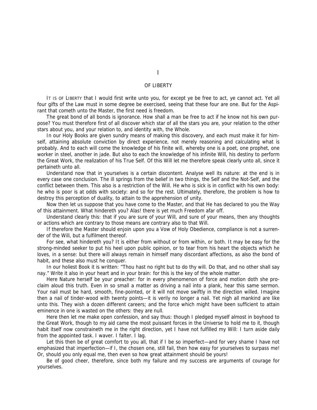#### OF LIBERTY

IT IS OF LIBERTY that I would first write unto you, for except ye be free to act, ye cannot act. Yet all four gifts of the Law must in some degree be exercised, seeing that these four are one. But for the Aspirant that cometh unto the Master, the first need is freedom.

The great bond of all bonds is ignorance. How shall a man be free to act if he know not his own purpose? You must therefore first of all discover which star of all the stars you are, your relation to the other stars about you, and your relation to, and identity with, the Whole.

In our Holy Books are given sundry means of making this discovery, and each must make it for himself, attaining absolute conviction by direct experience, not merely reasoning and calculating what is probably. And to each will come the knowledge of his finite will, whereby one is a poet, one prophet, one worker in steel, another in jade. But also to each the knowledge of his infinite Will, his destiny to perform the Great Work, the realization of his True Self. Of this Will let me therefore speak clearly unto all, since it pertaineth unto all.

Understand now that in yourselves is a certain discontent. Analyse well its nature: at the end is in every case one conclusion. The ill springs from the belief in two things, the Self and the Not-Self, and the conflict between them. This also is a restriction of the Will. He who is sick is in conflict with his own body: he who is poor is at odds with society: and so for the rest. Ultimately, therefore, the problem is how to destroy this perception of duality, to attain to the apprehension of unity.

Now then let us suppose that you have come to the Master, and that He has declared to you the Way of this attainment. What hindereth you? Alas! there is yet much Freedom afar off.

Understand clearly this: that if you are sure of your Will, and sure of your means, then any thoughts or actions which are contrary to those means are contrary also to that Will.

If therefore the Master should enjoin upon you a Vow of Holy Obedience, compliance is not a surrender of the Will, but a fulfilment thereof.

For see, what hindereth you? It is either from without or from within, or both. It may be easy for the strong-minded seeker to put his heel upon public opinion, or to tear from his heart the objects which he loves, in a sense: but there will always remain in himself many discordant affections, as also the bond of habit, and these also must he conquer.

In our holiest Book it is written: "Thou hast no right but to do thy will. Do that, and no other shall say nay." Write it also in your heart and in your brain: for this is the key of the whole matter.

Here Nature herself be your preacher: for in every phenomenon of force and motion doth she proclaim aloud this truth. Even in so small a matter as driving a nail into a plank, hear this same sermon. Your nail must be hard, smooth, fine-pointed, or it will not move swiftly in the direction willed. Imagine then a nail of tinder-wood with twenty points—it is verily no longer a nail. Yet nigh all mankind are like unto this. They wish a dozen different careers; and the force which might have been sufficient to attain eminence in one is wasted on the others: they are null.

Here then let me make open confession, and say thus: though I pledged myself almost in boyhood to the Great Work, though to my aid came the most puissant forces in the Universe to hold me to it, though habit itself now constraineth me in the right direction, yet I have not fulfilled my Will: I turn aside daily from the appointed task. I waver. I falter. I lag.

Let this then be of great comfort to you all, that if I be so imperfect—and for very shame I have not emphasized that imperfection—if I, the chosen one, still fail, then how easy for yourselves to surpass me! Or, should you only equal me, then even so how great attainment should be yours!

Be of good cheer, therefore, since both my failure and my success are arguments of courage for yourselves.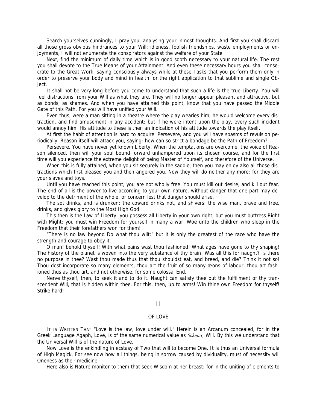Search yourselves cunningly, I pray you, analysing your inmost thoughts. And first you shall discard all those gross obvious hindrances to your Will: idleness, foolish friendships, waste employments or enjoyments, I will not enumerate the conspirators against the welfare of your State.

Next, find the minimum of daily time which is in good sooth necessary to your natural life. The rest you shall devote to the True Means of your Attainment. And even these necessary hours you shall consecrate to the Great Work, saying consciously always while at these Tasks that you perform them only in order to preserve your body and mind in health for the right application to that sublime and single Object.

It shall not be very long before you come to understand that such a life is the true Liberty. You will feel distractions from your Will as what they are. They will no longer appear pleasant and attractive, but as bonds, as shames. And when you have attained this point, know that you have passed the Middle Gate of this Path. For you will have unified your Will.

Even thus, were a man sitting in a theatre where the play wearies him, he would welcome every distraction, and find amusement in any accident: but if he were intent upon the play, every such incident would annoy him. His attitude to these is then an indication of his attitude towards the play itself.

At first the habit of attention is hard to acquire. Persevere, and you will have spasms of revulsion periodically. Reason itself will attack you, saying: how can so strict a bondage be the Path of Freedom?

Persevere. You have never yet known Liberty. When the temptations are overcome, the voice of Reason silenced, then will your soul bound forward unhampered upon its chosen course, and for the first time will you experience the extreme delight of being Master of Yourself, and therefore of the Universe.

When this is fully attained, when you sit securely in the saddle, then you may enjoy also all those distractions which first pleased you and then angered you. Now they will do neither any more: for they are your slaves and toys.

Until you have reached this point, you are not wholly free. You must kill out desire, and kill out fear. The end of all is the power to live according to your own nature, without danger that one part may develop to the detriment of the whole, or concern lest that danger should arise.

The sot drinks, and is drunken: the coward drinks not, and shivers: the wise man, brave and free, drinks, and gives glory to the Most High God.

This then is the Law of Liberty: you possess all Liberty in your own right, but you must buttress Right with Might: you must win Freedom for yourself in many a war. Woe unto the children who sleep in the Freedom that their forefathers won for them!

"There is no law beyond Do what thou wilt:" but it is only the greatest of the race who have the strength and courage to obey it.

O man! behold thyself! With what pains wast thou fashioned! What ages have gone to thy shaping! The history of the planet is woven into the very substance of thy brain! Was all this for naught? Is there no purpose in thee? Wast thou made thus that thou shouldst eat, and breed, and die? Think it not so! Thou dost incorporate so many elements, thou art the fruit of so many æons of labour, thou art fashioned thus as thou art, and not otherwise, for some colossal End.

Nerve thyself, then, to seek it and to do it. Naught can satisfy thee but the fulfiliment of thy transcendent Will, that is hidden within thee. For this, then, up to arms! Win thine own Freedom for thyself! Strike hard!

#### II

#### OF LOVE

IT IS WRITTEN THAT "Love is the law, love under will." Herein is an Arcanum concealed, for in the Greek Language Agaph, Love, is of the same numerical value as *θελημα*, Will. By this we understand that the Universal Will is of the nature of Love.

Now Love is the enkindling in ecstasy of Two that will to become One. It is thus an Universal formula of High Magick. For see now how all things, being in sorrow caused by dividuality, must of necessity will Oneness as their medicine.

Here also is Nature monitor to them that seek Wisdom at her breast: for in the uniting of elements to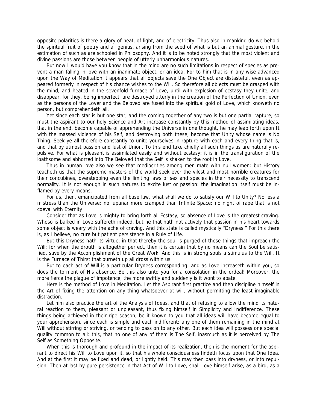opposite polarities is there a glory of heat, of light, and of electricity. Thus also in mankind do we behold the spiritual fruit of poetry and all genius, arising from the seed of what is but an animal gesture, in the estimation of such as are schooled in Philosophy. And it is to be noted strongly that the most violent and divine passions are those between people of utterly unharmonious natures.

But now I would have you know that in the mind are no such limitations in respect of species as prevent a man falling in love with an inanimate object, or an idea. For to him that is in any wise advanced upon the Way of Meditation it appears that all objects save the One Object are distasteful, even as appeared formerly in respect of his chance wishes to the Will. So therefore all objects must be grasped with the mind, and heated in the sevenfold furnace of Love, until with explosion of ecstasy they unite, and disappear, for they, being imperfect, are destroyed utterly in the creation of the Perfection of Union, even as the persons of the Lover and the Beloved are fused into the spiritual gold of Love, which knoweth no person, but comprehendeth all.

Yet since each star is but one star, and the coming together of any two is but one partial rapture, so must the aspirant to our holy Science and Art increase constantly by this method of assimilating ideas, that in the end, become capable of apprehending the Universe in one thought, he may leap forth upon It with the massed violence of his Self, and destroying both these, become that Unity whose name is No Thing. Seek ye all therefore constantly to unite yourselves in rapture with each and every thing that is, and that by utmost passion and lust of Union. To this end take chiefly all such things as are naturally repulsive. For what is pleasant is assimilated easily and without ecstasy: it is in the transfiguration of the loathsome and abhorred into The Beloved that the Self is shaken to the root in Love.

Thus in human love also we see that mediocrities among men mate with null women: but History teacheth us that the supreme masters of the world seek ever the vilest and most horrible creatures for their concubines, overstepping even the limiting laws of sex and species in their necessity to transcend normality. It is not enough in such natures to excite lust or passion: the imagination itself must be inflamed by every means.

For us, then, emancipated from all base law, what shall we do to satisfy our Will to Unity? No less a mistress than the Universe: no lupanar more cramped than Infinite Space: no night of rape that is not coeval with Eternity!

Consider that as Love is mighty to bring forth all Ecstasy, so absence of Love is the greatest craving. Whoso is balked in Love suffereth indeed, but he that hath not actively that passion in his heart towards some object is weary with the ache of craving. And this state is called mystically "Dryness." For this there is, as I believe, no cure but patient persistence in a Rule of Life.

But this Dryness hath its virtue, in that thereby the soul is purged of those things that impreach the Will: for when the drouth is altogether perfect, then it is certain that by no means can the Soul be satisfied, save by the Accomplishment of the Great Work. And this is in strong souls a stimulus to the Will. It is the Furnace of Thirst that burneth up all dross within us.

But to each act of Will is a particular Dryness corresponding: and as Love increaseth within you, so does the torment of His absence. Be this also unto you for a consolation in the ordeal! Moreover, the more fierce the plague of impotence, the more swiftly and suddenly is it wont to abate.

Here is the method of Love in Meditation. Let the Aspirant first practice and then discipline himself in the Art of fixing the attention on any thing whatsoever at will, without permitting the least imaginable distraction.

Let him also practice the art of the Analysis of Ideas, and that of refusing to allow the mind its natural reaction to them, pleasant or unpleasant, thus fixing himself in Simplicity and Indifference. These things being achieved in their ripe season, be it known to you that all ideas will have become equal to your apprehension, since each is simple and each indifferent: any one of them remaining in the mind at Will without stirring or striving, or tending to pass on to any other. But each idea will possess one special quality common to all: this, that no one of any of them is The Self, inasmuch as it is perceived by The Self as Something Opposite.

When this is thorough and profound in the impact of its realization, then is the moment for the aspirant to direct his Will to Love upon it, so that his whole consciousness findeth focus upon that One Idea. And at the first it may be fixed and dead, or lightly held. This may then pass into dryness, or into repulsion. Then at last by pure persistence in that Act of Will to Love, shall Love himself arise, as a bird, as a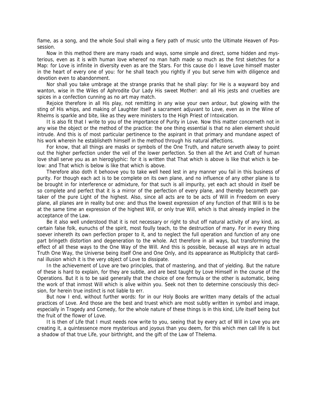flame, as a song, and the whole Soul shall wing a fiery path of music unto the Ultimate Heaven of Possession.

Now in this method there are many roads and ways, some simple and direct, some hidden and mysterious, even as it is with human love whereof no man hath made so much as the first sketches for a Map: for Love is infinite in diversity even as are the Stars. For this cause do I leave Love himself master in the heart of every one of you: for he shall teach you rightly if you but serve him with diligence and devotion even to abandonment.

Nor shall you take umbrage at the strange pranks that he shall play: for He is a wayward boy and wanton, wise in the Wiles of Aphrodite Our Lady His sweet Mother: and all His jests and cruelties are spices in a confection cunning as no art may match.

Rejoice therefore in all His play, not remitting in any wise your own ardour, but glowing with the sting of His whips, and making of Laughter itself a sacrament adjuvant to Love, even as in the Wine of Rheims is sparkle and bite, like as they were ministers to the High Priest of Intoxication.

It is also fit that I write to you of the importance of Purity in Love. Now this matter concerneth not in any wise the object or the method of the practice: the one thing essential is that no alien element should intrude. And this is of most particular pertinence to the aspirant in that primary and mundane aspect of his work wherein he establisheth himself in the method through his natural affections.

For know, that all things are masks or symbols of the One Truth, and nature serveth alway to point out the higher perfection under the veil of the lower perfection. So then all the Art and Craft of human love shall serve you as an hieroglyphic: for it is written that That which is above is like that which is below: and That which is below is like that which is above.

Therefore also doth it behoove you to take well heed lest in any manner you fail in this business of purity. For though each act is to be complete on its own plane, and no influence of any other plane is to be brought in for interference or admixture, for that such is all impurity, yet each act should in itself be so complete and perfect that it is a mirror of the perfection of every plane, and thereby becometh partaker of the pure Light of the highest. Also, since all acts are to be acts of Will in Freedom on every plane, all planes are in reality but one: and thus the lowest expression of any function of that Will is to be at the same time an expression of the highest Will, or only true Will, which is that already implied in the acceptance of the Law.

Be it also well understood that it is not necessary or right to shut off natural activity of any kind, as certain false folk, eunuchs of the spirit, most foully teach, to the destruction of many. For in every thing soever inhereth its own perfection proper to it, and to neglect the full operation and function of any one part bringeth distortion and degeneration to the whole. Act therefore in all ways, but transforming the effect of all these ways to the One Way of the Will. And this is possible, because all ways are in actual Truth One Way, the Universe being itself One and One Only, and its appearance as Multiplicity that cardinal illusion which it is the very object of Love to dissipate.

In the achievement of Love are two principles, that of mastering, and that of yielding. But the nature of these is hard to explain, for they are subtle, and are best taught by Love Himself in the course of the Operations. But it is to be said generally that the choice of one formula or the other is automatic, being the work of that inmost Will which is alive within you. Seek not then to determine consciously this decision, for herein true instinct is not liable to err.

But now I end, without further words: for in our Holy Books are written many details of the actual practices of Love. And those are the best and truest which are most subtly written in symbol and image, especially in Tragedy and Comedy, for the whole nature of these things is in this kind, Life itself being but the fruit of the flower of Love.

It is then of Life that I must needs now write to you, seeing that by every act of Will in Love you are creating it, a quintessence more mysterious and joyous than you deem, for this which men call life is but a shadow of that true Life, your birthright, and the gift of the Law of Thelema.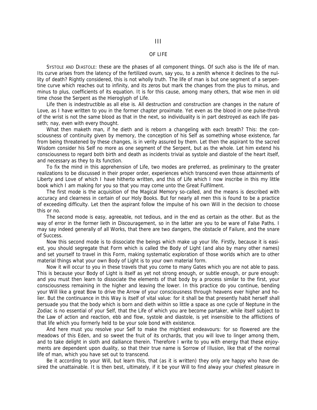## OF LIFE

SYSTOLE AND DIASTOLE: these are the phases of all component things. Of such also is the life of man. Its curve arises from the latency of the fertilized ovum, say you, to a zenith whence it declines to the nullity of death? Rightly considered, this is not wholly truth. The life of man is but one segment of a serpentine curve which reaches out to infinity, and its zeros but mark the changes from the plus to minus, and minus to plus, coefficients of its equation. It is for this cause, among many others, that wise men in old time chose the Serpent as the Hieroglyph of Life.

Life then is indestructible as all else is. All destruction and construction are changes in the nature of Love, as I have written to you in the former chapter proximate. Yet even as the blood in one pulse-throb of the wrist is not the same blood as that in the next, so individuality is in part destroyed as each life passeth; nay, even with every thought.

What then maketh man, if he dieth and is reborn a changeling with each breath? This: the consciousness of continuity given by memory, the conception of his Self as something whose existence, far from being threatened by these changes, is in verity assured by them. Let then the aspirant to the sacred Wisdom consider his Self no more as one segment of the Serpent, but as the whole. Let him extend his consciousness to regard both birth and death as incidents trivial as systole and diastole of the heart itself, and necessary as they to its function.

To fix the mind in this apprehension of Life, two modes are preferred, as preliminary to the greater realizations to be discussed in their proper order, experiences which transcend even those attainments of Liberty and Love of which I have hitherto written, and this of Life which I now inscribe in this my little book which I am making for you so that you may come unto the Great Fulfilment.

The first mode is the acquisition of the Magical Memory so-called, and the means is described with accuracy and clearness in certain of our Holy Books. But for nearly all men this is found to be a practice of exceeding difficulty. Let then the aspirant follow the impulse of his own Will in the decision to choose this or no.

The second mode is easy, agreeable, not tedious, and in the end as certain as the other. But as the way of error in the former lieth in Discouragement, so in the latter are you to be ware of False Paths. I may say indeed generally of all Works, that there are two dangers, the obstacle of Failure, and the snare of Success.

Now this second mode is to dissociate the beings which make up your life. Firstly, because it is easiest, you should segregate that Form which is called the Body of Light (and also by many other names) and set yourself to travel in this Form, making systematic exploration of those worlds which are to other material things what your own Body of Light is to your own material form.

Now it will occur to you in these travels that you come to many Gates which you are not able to pass. This is because your Body of Light is itself as yet not strong enough, or subtle enough, or pure enough: and you must then learn to dissociate the elements of that body by a process similar to the first, your consciousness remaining in the higher and leaving the lower. In this practice do you continue, bending your Will like a great Bow to drive the Arrow of your consciousness through heavens ever higher and holier. But the continuance in this Way is itself of vital value: for it shall be that presently habit herself shall persuade you that the body which is born and dieth within so little a space as one cycle of Neptune in the Zodiac is no essential of your Self, that the Life of which you are become partaker, while itself subject to the Law of action and reaction, ebb and flow, systole and diastole, is yet insensible to the afflictions of that life which you formerly held to be your sole bond with existence.

And here must you resolve your Self to make the mightiest endeavours: for so flowered are the meadows of this Eden, and so sweet the fruit of its orchards, that you will love to linger among them, and to take delight in sloth and dalliance therein. Therefore I write to you with energy that these enjoyments are dependent upon duality, so that their true name is Sorrow of Illusion, like that of the normal life of man, which you have set out to transcend.

Be it according to your Will, but learn this, that (as it is written) they only are happy who have desired the unattainable. It is then best, ultimately, if it be your Will to find alway your chiefest pleasure in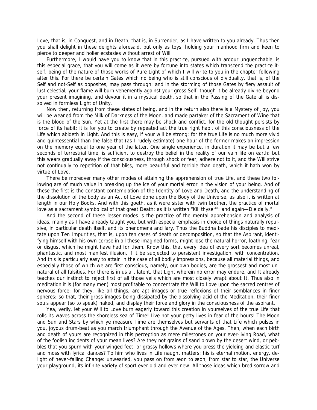Love, that is, in Conquest, and in Death, that is, in Surrender, as I have written to you already. Thus then you shall delight in these delights aforesaid, but only as toys, holding your manhood firm and keen to pierce to deeper and holier ecstasies without arrest of Will.

Furthermore, I would have you to know that in this practice, pursued with ardour unquenchable, is this especial grace, that you will come as it were by fortune into states which transcend the practice itself, being of the nature of those works of Pure Light of which I will write to you in the chapter following after this. For there be certain Gates which no being who is still conscious of dividuality, that is, of the Self and not-Self as opposites, may pass through: and in the storming of those Gates by fiery assault of lust celestial, your flame will burn vehemently against your gross Self, though it be already divine beyond your present imagining, and devour it in a mystical death, so that in the Passing of the Gate all is dissolved in formless Light of Unity.

Now then, returning from these states of being, and in the return also there is a Mystery of Joy, you will be weaned from the Milk of Darkness of the Moon, and made partaker of the Sacrament of Wine that is the blood of the Sun. Yet at the first there may be shock and conflict, for the old thought persists by force of its habit: it is for you to create by repeated act the true right habit of this consciousness of the Life which abideth in Light. And this is easy, if your will be strong: for the true Life is no much more vivid and quintessential than the false that (as I rudely estimate) one hour of the former makes an impression on the memory equal to one year of the latter. One single experience, in duration it may be but a few seconds of terrestrial time, is sufficient to destroy the belief in the reality of our vain life on earth: but this wears gradually away if the consciousness, through shock or fear, adhere not to it, and the Will strive not continually to repetition of that bliss, more beautiful and terrible than death, which it hath won by virtue of Love.

There be moreover many other modes of attaining the apprehension of true Life, and these two following are of much value in breaking up the ice of your mortal error in the vision of your being. And of these the first is the constant contemplation of the Identity of Love and Death, and the understanding of the dissolution of the body as an Act of Love done upon the Body of the Universe, as also it is written at length in our Holy Books. And with this goeth, as it were sister with twin brother, the practice of mortal love as a sacrament symbolical of that great Death: as it is written "Kill thyself": and again--Die daily."

And the second of these lesser modes is the practice of the mental apprehension and analysis of ideas, mainly as I have already taught you, but with especial emphasis in choice of things naturally repulsive, in particular death itself, and its phenomena ancillary. Thus the Buddha bade his disciples to meditate upon Ten Impurities, that is, upon ten cases of death or decomposition, so that the Aspirant, identifying himself with his own corpse in all these imagined forms, might lose the natural horror, loathing, fear or disgust which he might have had for them. Know this, that every idea of every sort becomes unreal, phantastic, and most manifest illusion, if it be subjected to persistent investigation, with concentration. And this is particularly easy to attain in the case of all bodily impressions, because all material things, and especially those of which we are first conscious, namely, our own bodies, are the grossest and most unnatural of all falsities. For there is in us all, latent, that Light wherein no error may endure, and It already teaches our instinct to reject first of all those veils which are most closely wrapt about It. Thus also in meditation it is (for many men) most profitable to concentrate the Will to Love upon the sacred centres of nervous force: for they, like all things, are apt images or true reflexions of their semblances in finer spheres: so that, their gross images being dissipated by the dissolving acid of the Meditation, their finer souls appear (so to speak) naked, and display their force and glory in the consciousness of the aspirant.

Yea, verily, let your Will to Love burn eagerly toward this creation in yourselves of the true Life that rolls its waves across the shoreless sea of Time! Live not your petty lives in fear of the hours! The Moon and Sun and Stars by which ye measure Time are themselves but servants of that Life which pulses in you, joyous drum-beat as you march triumphant through the Avenue of the Ages. Then, when each birth and death of yours are recognized in this perception as mere milestones on your ever-living Road, what of the foolish incidents of your mean lives? Are they not grains of sand blown by the desert wind, or pebbles that you spurn with your winged feet, or grassy hollows where you press the yielding and elastic turf and moss with lyrical dances? To him who lives in Life naught matters: his is eternal motion, energy, delight of never-failing Change: unwearied, you pass on from æon to æon, from star to star, the Universe your playground, its infinite variety of sport ever old and ever new. All those ideas which bred sorrow and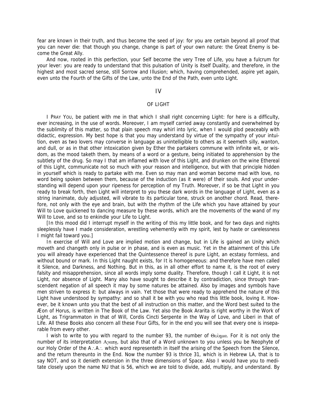fear are known in their truth, and thus become the seed of joy: for you are certain beyond all proof that you can never die: that though you change, change is part of your own nature: the Great Enemy is become the Great Ally.

And now, rooted in this perfection, your Self become the very Tree of Life, you have a fulcrum for your lever: you are ready to understand that this pulsation of Unity is itself Duality, and therefore, in the highest and most sacred sense, still Sorrow and Illusion; which, having comprehended, aspire yet again, even unto the Fourth of the Gifts of the Law, unto the End of the Path, even unto Light.

## IV

#### OF LIGHT

I PRAY YOU, be patient with me in that which I shall right concerning Light: for here is a difficulty, ever increasing, in the use of words. Moreover, I am myself carried away constantly and overwhelmed by the sublimity of this matter, so that plain speech may whirl into lyric, when I would plod peaceably with didactic, expression. My best hope is that you may understand by virtue of the sympathy of your intuition, even as two lovers may converse in language as unintelligible to others as it seemeth silly, wanton, and dull, or as in that other intoxication given by Ether the partakers commune with infinite wit, or wisdom, as the mood taketh them, by means of a word or a gesture, being initiated to apprehension by the subtlety of the drug. So may I that am inflamed with love of this Light, and drunken on the wine Ethereal of this Light, communicate not so much with your reason and intelligence, but with that principle hidden in yourself which is ready to partake with me. Even so may man and woman become mad with love, no word being spoken between them, because of the induction (as it were) of their souls. And your understanding will depend upon your ripeness for perception of my Truth. Moreover, if so be that Light in you ready to break forth, then Light will interpret to you these dark words in the language of Light, even as a string inanimate, duly adjusted, will vibrate to its particular tone, struck on another chord. Read, therefore, not only with the eye and brain, but with the rhythm of the Life which you have attained by your Will to Love quickened to dancing measure by these words, which are the movements of the wand of my Will to Love, and so to enkindle your Life to Light.

[In this mood did I interrupt myself in the writing of this my little book, and for two days and nights sleeplessly have I made consideration, wrestling vehemently with my spirit, lest by haste or carelessness I might fail toward you.]

In exercise of Will and Love are implied motion and change, but in Life is gained an Unity which moveth and changeth only in pulse or in phase, and is even as music. Yet in the attainment of this Life you will already have experienced that the Quintessence thereof is pure Light, an ecstasy formless, and without bound or mark. In this Light naught exists, for It is homogeneous: and therefore have men called it Silence, and Darkness, and Nothing. But in this, as in all other effort to name it, is the root of every falsity and misapprehension, since all words imply some duality. Therefore, though I call it Light, it is not Light, nor absence of Light. Many also have sought to describe it by contradiction, since through transcendent negation of all speech it may by some natures be attained. Also by images and symbols have men striven to express it: but always in vain. Yet those that were ready to apprehend the nature of this Light have understood by sympathy: and so shall it be with you who read this little book, loving it. However, be it known unto you that the best of all instruction on this matter, and the Word best suited to the Æon of Horus, is written in The Book of the Law. Yet also the Book Ararita is right worthy in the Work of Light, as Trigrammaton in that of Will, Cordis Cincti Serpente in the Way of Love, and Liberi in that of Life. All these Books also concern all these Four Gifts, for in the end you will see that every one is inseparable from every other.

I wish to write to you with regard to the number 93, the number of Θ*ελημα*. For it is not only the number of its interpretation Α*γαπη*, but also that of a Word unknown to you unless you be Neophyte of our Holy Order of the A∴A∴ which word representeth in itself the arising of the Speech from the Silence, and the return thereunto in the End. Now the number 93 is thrice 31, which is in Hebrew LA, that is to say NOT, and so it denieth extension in the three dimensions of Space. Also I would have you to meditate closely upon the name NU that is 56, which we are told to divide, add, multiply, and understand. By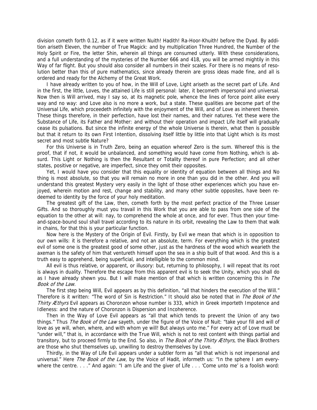division cometh forth 0.12, as if it were written Nuith! Hadith! Ra-Hoor-Khuith! before the Dyad. By addition ariseth Eleven, the number of True Magick: and by multiplication Three Hundred, the Number of the Holy Spirit or Fire, the letter Shin, wherein all things are consumed utterly. With these considerations, and a full understanding of the mysteries of the Number 666 and 418, you will be armed mightily in this Way of far flight. But you should also consider all numbers in their scales. For there is no means of resolution better than this of pure mathematics, since already therein are gross ideas made fine, and all is ordered and ready for the Alchemy of the Great Work.

I have already written to you of how, in the Will of Love, Light ariseth as the secret part of Life. And in the first, the little, Loves, the attained Life is still personal: later, it becometh impersonal and universal. Now then is Will arrived, may I say so, at its magnetic pole, whence the lines of force point alike every way and no way: and Love also is no more a work, but a state. These qualities are become part of the Universal Life, which proceedeth infinitely with the enjoyment of the Will, and of Love as inherent therein. These things therefore, in their perfection, have lost their names, and their natures. Yet these were the Substance of Life, its Father and Mother: and without their operation and impact Life itself will gradually cease its pulsations. But since the infinite energy of the whole Universe is therein, what then is possible but that it return to its own First Intention, dissolving itself little by little into that Light which is its most secret and most subtle Nature?

For this Universe is in Truth Zero, being an equation whereof Zero is the sum. Whereof this is the proof, that if not, it would be unbalanced, and something would have come from Nothing, which is absurd. This Light or Nothing is then the Resultant or Totality thereof in pure Perfection; and all other states, positive or negative, are imperfect, since they omit their opposites.

Yet, I would have you consider that this equality or identity of equation between all things and No thing is most absolute, so that you will remain no more in one than you did in the other. And you will understand this greatest Mystery very easily in the light of those other experiences which you have enjoyed, wherein motion and rest, change and stability, and many other subtle opposites, have been redeemed to identity by the force of your holy meditation.

The greatest gift of the Law, then, cometh forth by the most perfect practice of the Three Lesser Gifts. And so thoroughly must you travail in this Work that you are able to pass from one side of the equation to the other at will: nay, to comprehend the whole at once, and for ever. Thus then your timeand-space-bound soul shall travel according to its nature in its orbit, revealing the Law to them that walk in chains, for that this is your particular function.

Now here is the Mystery of the Origin of Evil. Firstly, by Evil we mean that which is in opposition to our own wills: it is therefore a relative, and not an absolute, term. For everything which is the greatest evil of some one is the greatest good of some other, just as the hardness of the wood which wearieth the axeman is the safety of him that ventureth himself upon the sea in a ship built of that wood. And this is a truth easy to apprehend, being superficial, and intelligible to the common mind.

All evil is thus relative, or apparent, or illusory: but, returning to philosophy, I will repeat that its root is always in duality. Therefore the escape from this apparent evil is to seek the Unity, which you shall do as I have already shewn you. But I will make mention of that which is written concerning this in The Book of the Law.

The first step being Will, Evil appears as by this definition, "all that hinders the execution of the Will." Therefore is it written: "The word of Sin is Restriction." It should also be noted that in The Book of the Thirty Æthyrs Evil appears as Choronzon whose number is 333, which in Greek importeth Impotence and Idleness: and the nature of Choronzon is Dispersion and Incoherence.

Then in the Way of Love Evil appears as "all that which tends to prevent the Union of any two things." Thus The Book of the Law sayeth, under the figure of the Voice of Nuit: "take your fill and will of love as ye will, when, where, and with whom ye will! But always unto me." For every act of Love must be "under will," that is, in accordance with the True Will, which is not to rest content with things partial and transitory, but to proceed firmly to the End. So also, in The Book of the Thirty Æthyrs, the Black Brothers are those who shut themselves up, unwilling to destroy themselves by Love.

Thirdly, in the Way of Life Evil appears under a subtler form as "all that which is not impersonal and universal." Here The Book of the Law, by the Voice of Hadit, informeth us: "In the sphere I am everywhere the centre. . . ." And again: "I am Life and the giver of Life . . . 'Come unto me' is a foolish word: